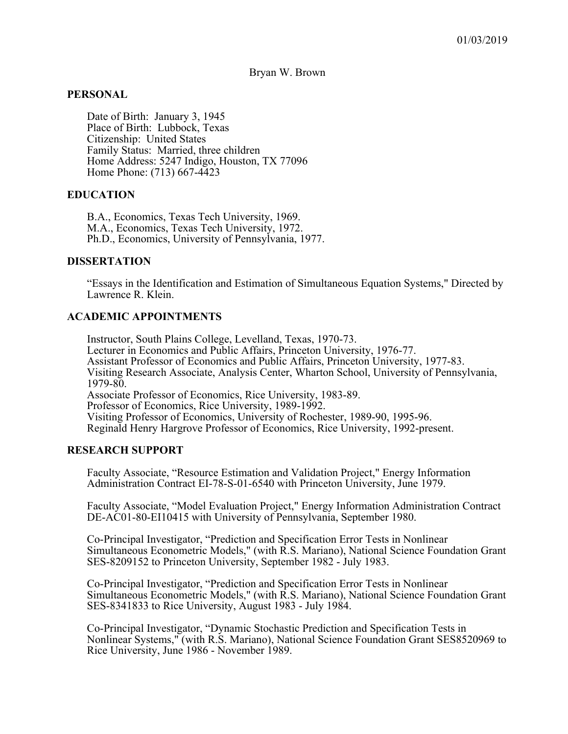Bryan W. Brown

#### **PERSONAL**

Date of Birth: January 3, 1945 Place of Birth: Lubbock, Texas Citizenship: United States Family Status: Married, three children Home Address: 5247 Indigo, Houston, TX 77096 Home Phone: (713) 667-4423

#### **EDUCATION**

B.A., Economics, Texas Tech University, 1969. M.A., Economics, Texas Tech University, 1972. Ph.D., Economics, University of Pennsylvania, 1977.

#### **DISSERTATION**

"Essays in the Identification and Estimation of Simultaneous Equation Systems," Directed by Lawrence R. Klein.

#### **ACADEMIC APPOINTMENTS**

Instructor, South Plains College, Levelland, Texas, 1970-73. Lecturer in Economics and Public Affairs, Princeton University, 1976-77. Assistant Professor of Economics and Public Affairs, Princeton University, 1977-83. Visiting Research Associate, Analysis Center, Wharton School, University of Pennsylvania, 1979-80. Associate Professor of Economics, Rice University, 1983-89. Professor of Economics, Rice University, 1989-1992. Visiting Professor of Economics, University of Rochester, 1989-90, 1995-96. Reginald Henry Hargrove Professor of Economics, Rice University, 1992-present.

#### **RESEARCH SUPPORT**

Faculty Associate, "Resource Estimation and Validation Project," Energy Information Administration Contract EI-78-S-01-6540 with Princeton University, June 1979.

Faculty Associate, "Model Evaluation Project," Energy Information Administration Contract DE-AC01-80-EI10415 with University of Pennsylvania, September 1980.

Co-Principal Investigator, "Prediction and Specification Error Tests in Nonlinear Simultaneous Econometric Models," (with R.S. Mariano), National Science Foundation Grant SES-8209152 to Princeton University, September 1982 - July 1983.

Co-Principal Investigator, "Prediction and Specification Error Tests in Nonlinear Simultaneous Econometric Models," (with R.S. Mariano), National Science Foundation Grant SES-8341833 to Rice University, August 1983 - July 1984.

Co-Principal Investigator, "Dynamic Stochastic Prediction and Specification Tests in Nonlinear Systems," (with R.S. Mariano), National Science Foundation Grant SES8520969 to Rice University, June 1986 - November 1989.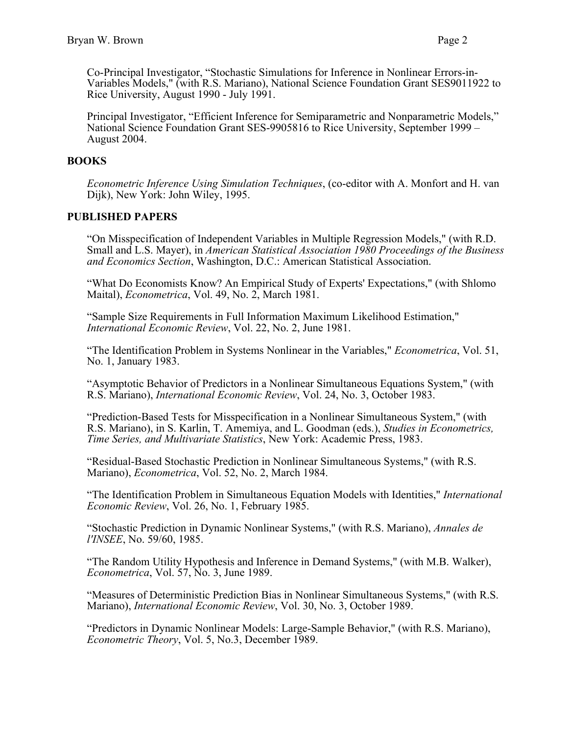Co-Principal Investigator, "Stochastic Simulations for Inference in Nonlinear Errors-in-Variables Models," (with R.S. Mariano), National Science Foundation Grant SES9011922 to Rice University, August 1990 - July 1991.

Principal Investigator, "Efficient Inference for Semiparametric and Nonparametric Models," National Science Foundation Grant SES-9905816 to Rice University, September 1999 – August 2004.

# **BOOKS**

*Econometric Inference Using Simulation Techniques*, (co-editor with A. Monfort and H. van Dijk), New York: John Wiley, 1995.

# **PUBLISHED PAPERS**

"On Misspecification of Independent Variables in Multiple Regression Models," (with R.D. Small and L.S. Mayer), in *American Statistical Association 1980 Proceedings of the Business and Economics Section*, Washington, D.C.: American Statistical Association.

"What Do Economists Know? An Empirical Study of Experts' Expectations," (with Shlomo Maital), *Econometrica*, Vol. 49, No. 2, March 1981.

"Sample Size Requirements in Full Information Maximum Likelihood Estimation," *International Economic Review*, Vol. 22, No. 2, June 1981.

"The Identification Problem in Systems Nonlinear in the Variables," *Econometrica*, Vol. 51, No. 1, January 1983.

"Asymptotic Behavior of Predictors in a Nonlinear Simultaneous Equations System," (with R.S. Mariano), *International Economic Review*, Vol. 24, No. 3, October 1983.

"Prediction-Based Tests for Misspecification in a Nonlinear Simultaneous System," (with R.S. Mariano), in S. Karlin, T. Amemiya, and L. Goodman (eds.), *Studies in Econometrics, Time Series, and Multivariate Statistics*, New York: Academic Press, 1983.

"Residual-Based Stochastic Prediction in Nonlinear Simultaneous Systems," (with R.S. Mariano), *Econometrica*, Vol. 52, No. 2, March 1984.

"The Identification Problem in Simultaneous Equation Models with Identities," *International Economic Review*, Vol. 26, No. 1, February 1985.

"Stochastic Prediction in Dynamic Nonlinear Systems," (with R.S. Mariano), *Annales de l'INSEE*, No. 59/60, 1985.

"The Random Utility Hypothesis and Inference in Demand Systems," (with M.B. Walker), *Econometrica*, Vol. 57, No. 3, June 1989.

"Measures of Deterministic Prediction Bias in Nonlinear Simultaneous Systems," (with R.S. Mariano), *International Economic Review*, Vol. 30, No. 3, October 1989.

"Predictors in Dynamic Nonlinear Models: Large-Sample Behavior," (with R.S. Mariano), *Econometric Theory*, Vol. 5, No.3, December 1989.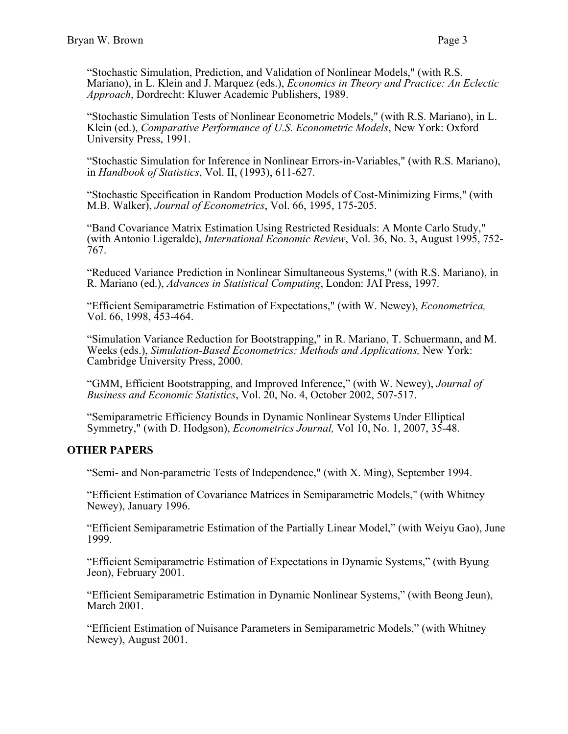"Stochastic Simulation, Prediction, and Validation of Nonlinear Models," (with R.S. Mariano), in L. Klein and J. Marquez (eds.), *Economics in Theory and Practice: An Eclectic Approach*, Dordrecht: Kluwer Academic Publishers, 1989.

"Stochastic Simulation Tests of Nonlinear Econometric Models," (with R.S. Mariano), in L. Klein (ed.), *Comparative Performance of U.S. Econometric Models*, New York: Oxford University Press, 1991.

"Stochastic Simulation for Inference in Nonlinear Errors-in-Variables," (with R.S. Mariano), in *Handbook of Statistics*, Vol. II, (1993), 611-627.

"Stochastic Specification in Random Production Models of Cost-Minimizing Firms," (with M.B. Walker), *Journal of Econometrics*, Vol. 66, 1995, 175-205.

"Band Covariance Matrix Estimation Using Restricted Residuals: A Monte Carlo Study," (with Antonio Ligeralde), *International Economic Review*, Vol. 36, No. 3, August 1995, 752- 767.

"Reduced Variance Prediction in Nonlinear Simultaneous Systems," (with R.S. Mariano), in R. Mariano (ed.), *Advances in Statistical Computing*, London: JAI Press, 1997.

"Efficient Semiparametric Estimation of Expectations," (with W. Newey), *Econometrica,* Vol. 66, 1998, 453-464.

"Simulation Variance Reduction for Bootstrapping," in R. Mariano, T. Schuermann, and M. Weeks (eds.), *Simulation-Based Econometrics: Methods and Applications,* New York: Cambridge University Press, 2000.

"GMM, Efficient Bootstrapping, and Improved Inference," (with W. Newey), *Journal of Business and Economic Statistics*, Vol. 20, No. 4, October 2002, 507-517.

"Semiparametric Efficiency Bounds in Dynamic Nonlinear Systems Under Elliptical Symmetry," (with D. Hodgson), *Econometrics Journal,* Vol 10, No. 1, 2007, 35-48.

### **OTHER PAPERS**

"Semi- and Non-parametric Tests of Independence," (with X. Ming), September 1994.

"Efficient Estimation of Covariance Matrices in Semiparametric Models," (with Whitney Newey), January 1996.

"Efficient Semiparametric Estimation of the Partially Linear Model," (with Weiyu Gao), June 1999.

"Efficient Semiparametric Estimation of Expectations in Dynamic Systems," (with Byung Jeon), February 2001.

"Efficient Semiparametric Estimation in Dynamic Nonlinear Systems," (with Beong Jeun), March 2001.

"Efficient Estimation of Nuisance Parameters in Semiparametric Models," (with Whitney Newey), August 2001.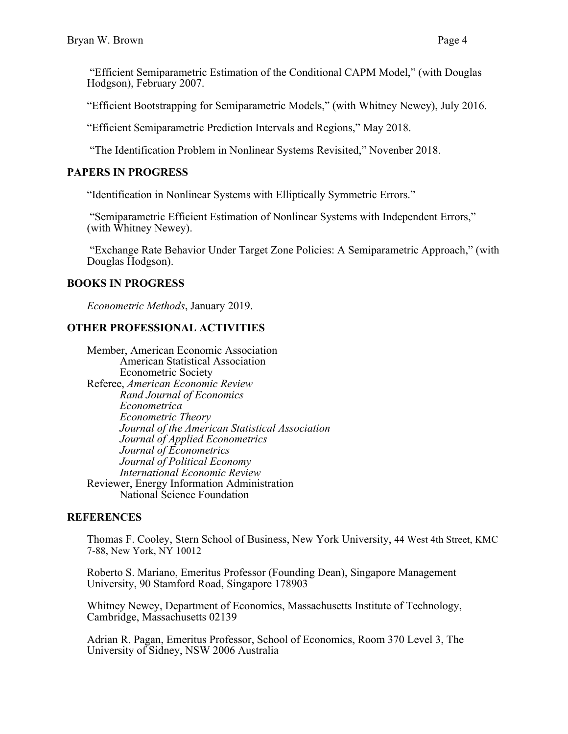"Efficient Semiparametric Estimation of the Conditional CAPM Model," (with Douglas Hodgson), February 2007.

"Efficient Bootstrapping for Semiparametric Models," (with Whitney Newey), July 2016.

"Efficient Semiparametric Prediction Intervals and Regions," May 2018.

"The Identification Problem in Nonlinear Systems Revisited," Novenber 2018.

### **PAPERS IN PROGRESS**

"Identification in Nonlinear Systems with Elliptically Symmetric Errors."

"Semiparametric Efficient Estimation of Nonlinear Systems with Independent Errors," (with Whitney Newey).

 "Exchange Rate Behavior Under Target Zone Policies: A Semiparametric Approach," (with Douglas Hodgson).

# **BOOKS IN PROGRESS**

*Econometric Methods*, January 2019.

# **OTHER PROFESSIONAL ACTIVITIES**

Member, American Economic Association American Statistical Association Econometric Society Referee, *American Economic Review Rand Journal of Economics Econometrica Econometric Theory Journal of the American Statistical Association Journal of Applied Econometrics Journal of Econometrics Journal of Political Economy International Economic Review* Reviewer, Energy Information Administration National Science Foundation

### **REFERENCES**

Thomas F. Cooley, Stern School of Business, New York University, 44 West 4th Street, KMC 7-88, New York, NY 10012

Roberto S. Mariano, Emeritus Professor (Founding Dean), Singapore Management University, 90 Stamford Road, Singapore 178903

Whitney Newey, Department of Economics, Massachusetts Institute of Technology, Cambridge, Massachusetts 02139

Adrian R. Pagan, Emeritus Professor, School of Economics, Room 370 Level 3, The University of Sidney, NSW 2006 Australia